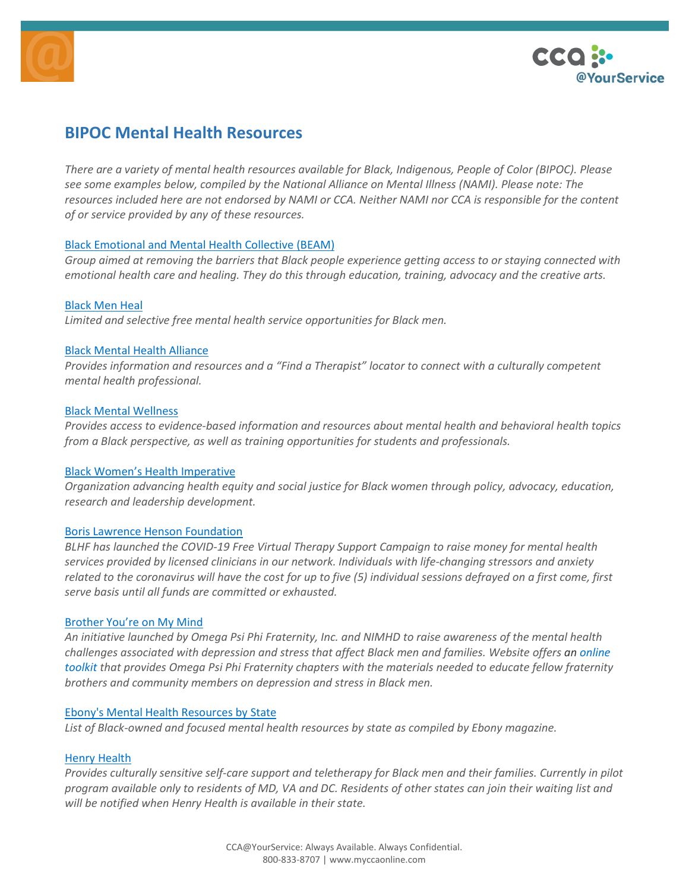



# **BIPOC Mental Health Resources**

There are a variety of mental health resources available for Black, Indigenous, People of Color (BIPOC). Please *see some examples below, compiled by the National Alliance on Mental Illness (NAMI). Please note: The* resources included here are not endorsed by NAMI or CCA. Neither NAMI nor CCA is responsible for the content *of or service provided by any of these resources.*

# Black [Emotional](https://www.beam.community/whatwebelieve) and Mental Health Collective (BEAM)

Group aimed at removing the barriers that Black people experience getting access to or staying connected with *emotional health care and healing. They do this through education, training, advocacy and the creative arts.*

## [Black](https://blackmenheal.org/) Men Heal

*Limited and selective free mental health service opportunities for Black men.*

## Black Mental Health [Alliance](http://www.blackmentalhealth.com/)

*Provides information and resources and a "Find a Therapist" locator to connect with a culturally competent mental health professional.*

## Black Mental [Wellness](https://www.blackmentalwellness.com/)

*Provides access to evidence-based information and resources about mental health and behavioral health topics from a Black perspective, as well as training opportunities for students and professionals.*

## Black Women's Health [Imperative](https://bwhi.org/)

*Organization advancing health equity and social justice for Black women through policy, advocacy, education, research and leadership development.*

## Boris Lawrence Henson [Foundation](https://borislhensonfoundation.org/)

*BLHF has launched the COVID-19 Free Virtual Therapy Support Campaign to raise money for mental health services provided by licensed clinicians in our network. Individuals with life-changing stressors and anxiety* related to the coronavirus will have the cost for up to five (5) individual sessions defrayed on a first come, first *serve basis until all funds are committed or exhausted.*

## [Brother](http://www.nimhd.nih.gov/programs/edu-training/byomm/) You're on My Mind

An initiative launched by Omega Psi Phi Fraternity, Inc. and NIMHD to raise awareness of the mental health *challenges associated with depression and stress that affect Black men and families. Website offers an [online](https://www.nimhd.nih.gov/programs/edu-training/byomm/toolkit.html) [toolkit](https://www.nimhd.nih.gov/programs/edu-training/byomm/toolkit.html) that provides Omega Psi Phi Fraternity chapters with the materials needed to educate fellow fraternity brothers and community members on depression and stress in Black men.*

## Ebony's Mental Health [Resources](http://www.ebony.com/life/black-mental-health-resources/) by State

*List of Black-owned and focused mental health resources by state as compiled by Ebony magazine.*

## Henry [Health](http://www.henry-health.com/)

Provides culturally sensitive self-care support and teletherapy for Black men and their families. Currently in pilot program available only to residents of MD, VA and DC. Residents of other states can join their waiting list and *will be notified when Henry Health is available in their state.*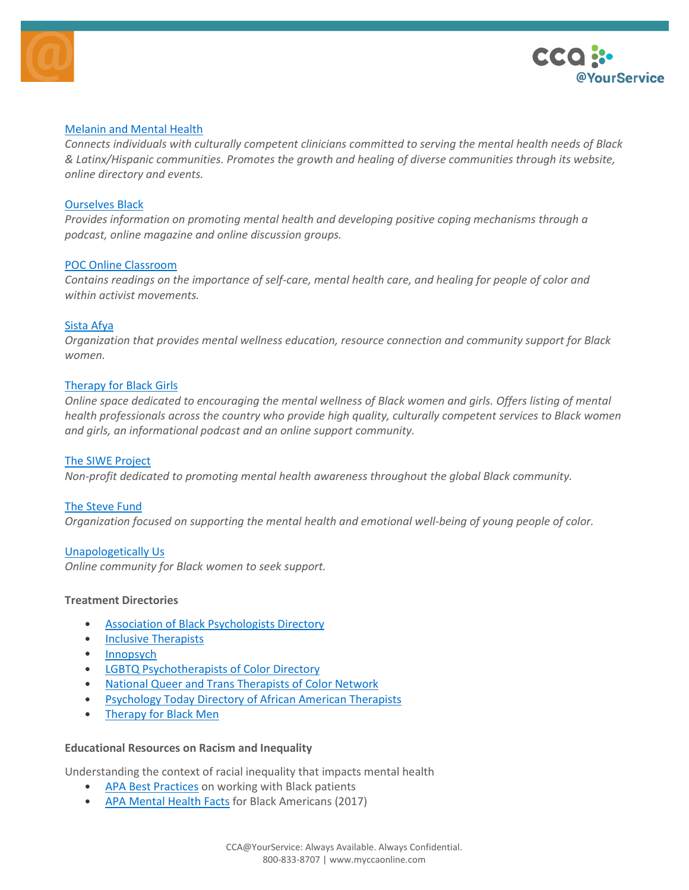



## [Melanin](https://www.melaninandmentalhealth.com/about-us/) and Mental Health

*Connects individuals with culturally competent clinicians committed to serving the mental health needs of Black & Latinx/Hispanic communities. Promotes the growth and healing of diverse communities through its website, online directory and events.*

## [Ourselves](http://www.ourselvesblack.com/) Black

*Provides information on promoting mental health and developing positive coping mechanisms through a podcast, online magazine and online discussion groups.*

## POC Online [Classroom](http://www.poconlineclassroom.com/self-care/)

*Contains readings on the importance of self-care, mental health care, and healing for people of color and within activist movements.*

## [Sista](https://www.sistaafya.com/) Afya

*Organization that provides mental wellness education, resource connection and community support for Black women.*

## [Therapy](http://www.therapyforblackgirls.com/) for Black Girls

Online space dedicated to encouraging the mental wellness of Black women and girls. Offers listing of mental *health professionals across the country who provide high quality, culturally competent services to Black women and girls, an informational podcast and an online support community.*

## The SIWE [Project](http://thesiweproject.org/)

*Non-profit dedicated to promoting mental health awareness throughout the global Black community.*

## The [Steve](https://www.stevefund.org/) Fund

*Organization focused on supporting the mental health and emotional well-being of young people of color.*

## [Unapologetically](http://www.unapologeticallyus.com/) Us

*Online community for Black women to seek support.*

## **Treatment Directories**

- Association of Black [Psychologists](http://www.abpsi.org/find-psychologists/) Directory
- Inclusive [Therapists](https://www.inclusivetherapists.com/)
- [Innopsych](https://www.innopsych.com/findatherapist)
- LGBTQ [Psychotherapists](https://www.lgbtqpsychotherapistsofcolor.com/) of Color Directory
- National Queer and Trans [Therapists](https://www.nqttcn.com/directory) of Color Network
- [Psychology](https://www.psychologytoday.com/us/therapists/african-american) Today Directory of African American Therapists
- [Therapy](https://naminational-my.sharepoint.com/personal/bsolish_nami_org/Documents/Crisis/Racism/therapyforblackmen.org) for Black Men

## **Educational Resources on Racism and Inequality**

Understanding the context of racial inequality that impacts mental health

- APA Best [Practices](https://www.psychiatry.org/psychiatrists/cultural-competency/education/best-practice-highlights/best-practice-highlights-for-working-with-african-american-patients) on working with Black patients
- APA [Mental](https://www.psychiatry.org/File%20Library/Psychiatrists/Cultural-Competency/Mental-Health-Disparities/Mental-Health-Facts-for-African-Americans.pdf) Health Facts for Black Americans (2017)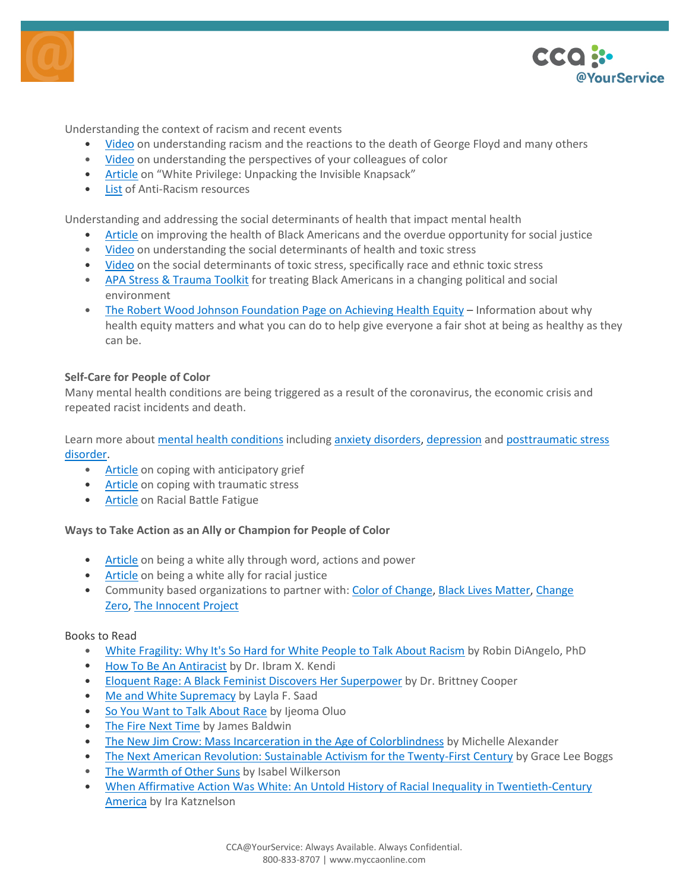



Understanding the context of racism and recent events

- [Video](https://twitter.com/thEMANacho/status/1267609472589090816) on understanding racism and the reactions to the death of George Floyd and many others
- [Video](https://www.refinery29.com/en-us/2020/05/9841376/black-trauma-george-floyd-dear-white-people?utm_source=email&utm_medium=email_share) on understanding the perspectives of your colleagues of color
- [Article](http://convention.myacpa.org/houston2018/wp-content/uploads/2017/11/UnpackingTheKnapsack.pdf) on "White Privilege: Unpacking the Invisible Knapsack"
- [List](http://bit.ly/ANTIRACISMRESOURCES) of Anti-Racism resources

Understanding and addressing the social determinants of health that impact mental health

- [Article](https://publichealthreviews.biomedcentral.com/articles/10.1186/s40985-016-0025-4) on improving the health of Black Americans and the overdue opportunity for social justice
- [Video](https://www.youtube.com/watch?v=NpEtEYN2OqM) on understanding the social determinants of health and toxic stress
- [Video](https://www.youtube.com/watch?v=eCeAzhKobk8) on the social determinants of toxic stress, specifically race and ethnic toxic stress
- APA Stress & [Trauma](https://www.psychiatry.org/psychiatrists/cultural-competency/education/stress-and-trauma/african-americans) Toolkit for treating Black Americans in a changing political and social environment
- The Robert Wood Johnson [Foundation](https://www.rwjf.org/en/library/features/achieving-health-equity.html) Page on Achieving Health Equity Information about why health equity matters and what you can do to help give everyone a fair shot at being as healthy as they can be.

## **Self-Care for People of Color**

Many mental health conditions are being triggered as a result of the coronavirus, the economic crisis and repeated racist incidents and death.

Learn more about mental health [conditions](https://www.nami.org/Learn-More/Mental-Health-Conditions) including anxiety [disorders,](https://www.nami.org/About-Mental-Illness/Mental-Health-Conditions/Anxiety-Disorders) [depression](https://www.nami.org/About-Mental-Illness/Mental-Health-Conditions/Depression) and [posttraumatic](https://www.nami.org/About-Mental-Illness/Mental-Health-Conditions/Posttraumatic-Stress-Disorder) stress [disorder.](https://www.nami.org/About-Mental-Illness/Mental-Health-Conditions/Posttraumatic-Stress-Disorder)

- [Article](https://www.verywellhealth.com/coping-with-anticipatory-grief-2248856) on coping with anticipatory grief
- [Article](https://cardinalatwork.stanford.edu/faculty-staff-help-center/resources/work-related/coping-traumatic-stress) on coping with traumatic stress
- [Article](https://medium.com/racial-battle-fatigue/racial-battle-fatigue-what-is-it-and-what-are-the-symptoms-84f79f49ee1e) on Racial Battle Fatigue

# **Ways to Take Action as an Ally or Champion for People of Color**

- [Article](https://www.jeffolivet.com/jeffs-blog/2020/5/29/dear-white-people-use-your-words-use-your-actions-use-your-power) on being a white ally through word, actions and power
- [Article](https://medium.com/equality-includes-you/what-white-people-can-do-for-racial-justice-f2d18b0e0234) on being a white ally for racial justice
- Community based organizations to partner with: Color of [Change,](https://colorofchange.org/) Black Lives [Matter,](https://blacklivesmatter.com/) [Change](https://www.joincampaignzero.org/#campaign) [Zero,](https://www.joincampaignzero.org/#campaign) The [Innocent](https://www.innocenceproject.org/) Project

## Books to Read

- White [Fragility:](https://robindiangelo.com/publications/) Why It's So Hard for White People to Talk About Racism by Robin DiAngelo, PhD
- How To Be An [Antiracist](https://www.ibramxkendi.com/how-to-be-an-antiracist-1) by Dr. Ibram X. Kendi
- Eloquent Rage: A Black Feminist Discovers Her [Superpower](https://read.macmillan.com/lp/eloquent-rage/) by Dr. Brittney Cooper
- Me and White [Supremacy](http://laylafsaad.com/meandwhitesupremacy) by Layla F. Saad
- So You Want to Talk [About](https://www.sealpress.com/titles/ijeoma-oluo/so-you-want-to-talk-about-race/9781580056779/) Race by Ijeoma Oluo
- The Fire Next [Time](https://www.penguinrandomhouse.com/books/7753/the-fire-next-time-by-james-baldwin/9780679744726/teachers-guide/) by James Baldwin
- The New Jim Crow: Mass Incarceration in the Age of [Colorblindness](https://newjimcrow.com/) by Michelle Alexander
- The Next American Revolution: Sustainable Activism for the [Twenty-First](https://www.ucpress.edu/book/9780520272590/the-next-american-revolution) Century by Grace Lee Boggs
- The [Warmth](https://www.penguinrandomhouse.com/books/190696/the-warmth-of-other-suns-by-isabel-wilkerson/) of Other Suns by Isabel Wilkerson
- When Affirmative Action Was White: An Untold History of Racial Inequality in [Twentieth-Century](https://books.google.com/books/about/When_Affirmative_Action_was_White.html?id=cfhneJPcD38C) [America](https://books.google.com/books/about/When_Affirmative_Action_was_White.html?id=cfhneJPcD38C) by Ira Katznelson